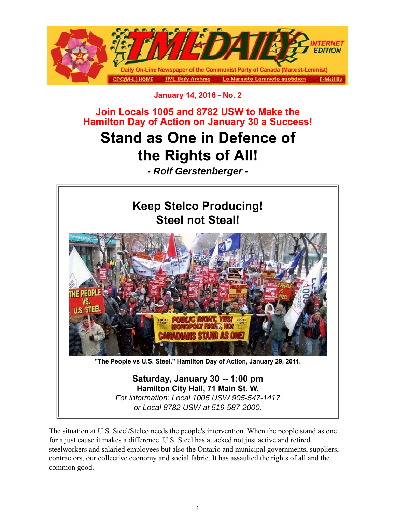

## **January 14, 2016 - No. 2**

**Join Locals 1005 and 8782 USW to Make the Hamilton Day of Action on January 30 a Success!**

## **Stand as One in Defence of** the Rights of All!

*- Rolf Gerstenberger -*



The situation at U.S. Steel/Stelco needs the people's intervention. When the people stand as one for a just cause it makes a difference. U.S. Steel has attacked not just active and retired steelworkers and salaried employees but also the Ontario and municipal governments, suppliers, contractors, our collective economy and social fabric. It has assaulted the rights of all and the common good.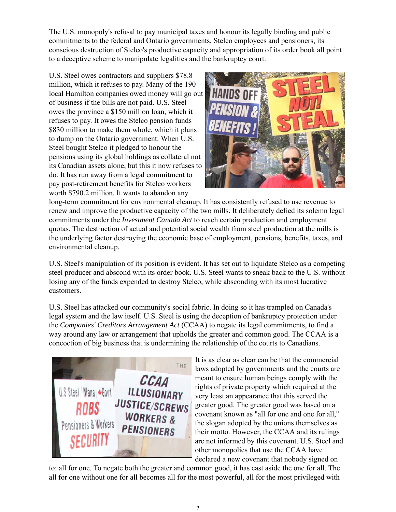The U.S. monopoly's refusal to pay municipal taxes and honour its legally binding and public commitments to the federal and Ontario governments, Stelco employees and pensioners, its conscious destruction of Stelco's productive capacity and appropriation of its order book all point to a deceptive scheme to manipulate legalities and the bankruptcy court.

U.S. Steel owes contractors and suppliers \$78.8 million, which it refuses to pay. Many of the 190 local Hamilton companies owed money will go out of business if the bills are not paid. U.S. Steel owes the province a \$150 million loan, which it refuses to pay. It owes the Stelco pension funds \$830 million to make them whole, which it plans to dump on the Ontario government. When U.S. Steel bought Stelco it pledged to honour the pensions using its global holdings as collateral not its Canadian assets alone, but this it now refuses to do. It has run away from a legal commitment to pay post-retirement benefits for Stelco workers worth \$790.2 million. It wants to abandon any



long-term commitment for environmental cleanup. It has consistently refused to use revenue to renew and improve the productive capacity of the two mills. It deliberately defied its solemn legal commitments under the *Investment Canada Act* to reach certain production and employment quotas. The destruction of actual and potential social wealth from steel production at the mills is the underlying factor destroying the economic base of employment, pensions, benefits, taxes, and environmental cleanup.

U.S. Steel's manipulation of its position is evident. It has set out to liquidate Stelco as a competing steel producer and abscond with its order book. U.S. Steel wants to sneak back to the U.S. without losing any of the funds expended to destroy Stelco, while absconding with its most lucrative customers.

U.S. Steel has attacked our community's social fabric. In doing so it has trampled on Canada's legal system and the law itself. U.S. Steel is using the deception of bankruptcy protection under the *Companies' Creditors Arrangement Act* (CCAA) to negate its legal commitments, to find a way around any law or arrangement that upholds the greater and common good. The CCAA is a concoction of big business that is undermining the relationship of the courts to Canadians.



It is as clear as clear can be that the commercial laws adopted by governments and the courts are meant to ensure human beings comply with the rights of private property which required at the very least an appearance that this served the greater good. The greater good was based on a covenant known as "all for one and one for all," the slogan adopted by the unions themselves as their motto. However, the CCAA and its rulings are not informed by this covenant. U.S. Steel and other monopolies that use the CCAA have declared a new covenant that nobody signed on

to: all for one. To negate both the greater and common good, it has cast aside the one for all. The all for one without one for all becomes all for the most powerful, all for the most privileged with